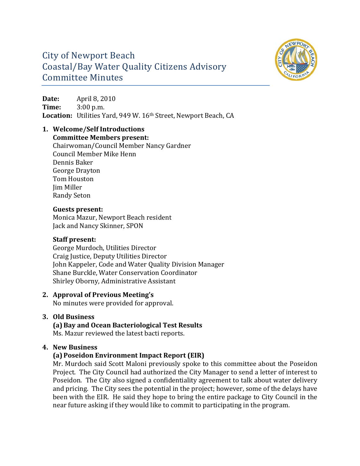

### City of Newport Beach Coastal/Bay Water Quality Citizens Advisory Committee Minutes

**Date:** April 8, 2010 **Time:** 3:00 p.m. Location: Utilities Yard, 949 W. 16<sup>th</sup> Street, Newport Beach, CA

### **1. Welcome/Self Introductions**

**Committee Members present:**

Chairwoman/Council Member Nancy Gardner Council Member Mike Henn Dennis Baker George Drayton Tom Houston Jim Miller Randy Seton

### **Guests present:**

Monica Mazur, Newport Beach resident Jack and Nancy Skinner, SPON

### **Staff present:**

George Murdoch, Utilities Director Craig Justice, Deputy Utilities Director John Kappeler, Code and Water Quality Division Manager Shane Burckle, Water Conservation Coordinator Shirley Oborny, Administrative Assistant

### **2. Approval of Previous Meeting's**

No minutes were provided for approval.

### **3. Old Business**

**(a)Bay and Ocean Bacteriological Test Results**

Ms. Mazur reviewed the latest bacti reports.

### **4. New Business**

### **(a)Poseidon Environment Impact Report (EIR)**

Mr. Murdoch said Scott Maloni previously spoke to this committee about the Poseidon Project. The City Council had authorized the City Manager to send a letter of interest to Poseidon. The City also signed a confidentiality agreement to talk about water delivery and pricing. The City sees the potential in the project; however, some of the delays have been with the EIR. He said they hope to bring the entire package to City Council in the near future asking if they would like to commit to participating in the program.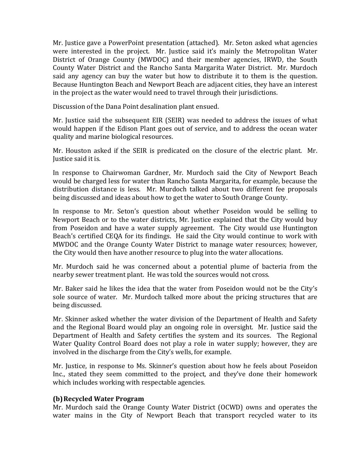Mr. Justice gave a PowerPoint presentation (attached). Mr. Seton asked what agencies were interested in the project. Mr. Justice said it's mainly the Metropolitan Water District of Orange County (MWDOC) and their member agencies, IRWD, the South County Water District and the Rancho Santa Margarita Water District. Mr. Murdoch said any agency can buy the water but how to distribute it to them is the question. Because Huntington Beach and Newport Beach are adjacent cities, they have an interest in the project as the water would need to travel through their jurisdictions.

Discussion of the Dana Point desalination plant ensued.

Mr. Justice said the subsequent EIR (SEIR) was needed to address the issues of what would happen if the Edison Plant goes out of service, and to address the ocean water quality and marine biological resources.

Mr. Houston asked if the SEIR is predicated on the closure of the electric plant. Mr. Justice said it is.

In response to Chairwoman Gardner, Mr. Murdoch said the City of Newport Beach would be charged less for water than Rancho Santa Margarita, for example, because the distribution distance is less. Mr. Murdoch talked about two different fee proposals being discussed and ideas about how to get the water to South Orange County.

In response to Mr. Seton's question about whether Poseidon would be selling to Newport Beach or to the water districts, Mr. Justice explained that the City would buy from Poseidon and have a water supply agreement. The City would use Huntington Beach's certified CEQA for its findings. He said the City would continue to work with MWDOC and the Orange County Water District to manage water resources; however, the City would then have another resource to plug into the water allocations.

Mr. Murdoch said he was concerned about a potential plume of bacteria from the nearby sewer treatment plant. He was told the sources would not cross.

Mr. Baker said he likes the idea that the water from Poseidon would not be the City's sole source of water. Mr. Murdoch talked more about the pricing structures that are being discussed.

Mr. Skinner asked whether the water division of the Department of Health and Safety and the Regional Board would play an ongoing role in oversight. Mr. Justice said the Department of Health and Safety certifies the system and its sources. The Regional Water Quality Control Board does not play a role in water supply; however, they are involved in the discharge from the City's wells, for example.

Mr. Justice, in response to Ms. Skinner's question about how he feels about Poseidon Inc., stated they seem committed to the project, and they've done their homework which includes working with respectable agencies.

#### **(b)Recycled Water Program**

Mr. Murdoch said the Orange County Water District (OCWD) owns and operates the water mains in the City of Newport Beach that transport recycled water to its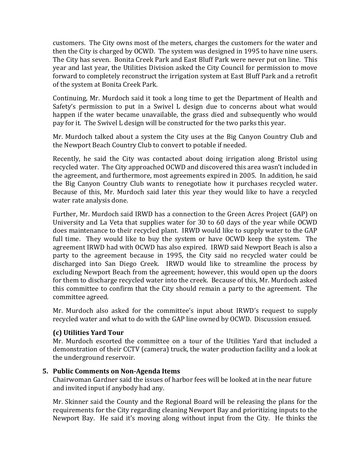customers. The City owns most of the meters, charges the customers for the water and then the City is charged by OCWD. The system was designed in 1995 to have nine users. The City has seven. Bonita Creek Park and East Bluff Park were never put on line. This year and last year, the Utilities Division asked the City Council for permission to move forward to completely reconstruct the irrigation system at East Bluff Park and a retrofit of the system at Bonita Creek Park.

Continuing, Mr. Murdoch said it took a long time to get the Department of Health and Safety's permission to put in a Swivel L design due to concerns about what would happen if the water became unavailable, the grass died and subsequently who would pay for it. The Swivel L design will be constructed for the two parks this year.

Mr. Murdoch talked about a system the City uses at the Big Canyon Country Club and the Newport Beach Country Club to convert to potable if needed.

Recently, he said the City was contacted about doing irrigation along Bristol using recycled water. The City approached OCWD and discovered this area wasn't included in the agreement, and furthermore, most agreements expired in 2005. In addition, he said the Big Canyon Country Club wants to renegotiate how it purchases recycled water. Because of this, Mr. Murdoch said later this year they would like to have a recycled water rate analysis done.

Further, Mr. Murdoch said IRWD has a connection to the Green Acres Project (GAP) on University and La Veta that supplies water for 30 to 60 days of the year while OCWD does maintenance to their recycled plant. IRWD would like to supply water to the GAP full time. They would like to buy the system or have OCWD keep the system. The agreement IRWD had with OCWD has also expired. IRWD said Newport Beach is also a party to the agreement because in 1995, the City said no recycled water could be discharged into San Diego Creek. IRWD would like to streamline the process by excluding Newport Beach from the agreement; however, this would open up the doors for them to discharge recycled water into the creek. Because of this, Mr. Murdoch asked this committee to confirm that the City should remain a party to the agreement. The committee agreed.

Mr. Murdoch also asked for the committee's input about IRWD's request to supply recycled water and what to do with the GAP line owned by OCWD. Discussion ensued.

### **(c) Utilities Yard Tour**

Mr. Murdoch escorted the committee on a tour of the Utilities Yard that included a demonstration of their CCTV (camera) truck, the water production facility and a look at the underground reservoir.

### **5. Public Comments on NonAgenda Items**

Chairwoman Gardner said the issues of harbor fees will be looked at in the near future and invited input if anybody had any.

Mr. Skinner said the County and the Regional Board will be releasing the plans for the requirements for the City regarding cleaning Newport Bay and prioritizing inputs to the Newport Bay. He said it's moving along without input from the City. He thinks the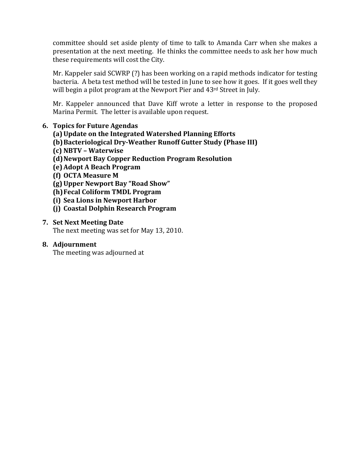committee should set aside plenty of time to talk to Amanda Carr when she makes a presentation at the next meeting. He thinks the committee needs to ask her how much these requirements will cost the City.

Mr. Kappeler said SCWRP (?) has been working on a rapid methods indicator for testing bacteria. A beta test method will be tested in June to see how it goes. If it goes well they will begin a pilot program at the Newport Pier and 43<sup>rd</sup> Street in July.

Mr. Kappeler announced that Dave Kiff wrote a letter in response to the proposed Marina Permit. The letter is available upon request.

### **6. Topics for Future Agendas**

- **(a)Update on the Integrated Watershed Planning Efforts**
- **(b)Bacteriological DryWeather Runoff Gutter Study (Phase III)**
- **(c) NBTV – Waterwise**
- **(d)Newport Bay Copper Reduction Program Resolution**
- **(e)Adopt A Beach Program**
- **(f) OCTA Measure M**
- **(g)Upper Newport Bay "Road Show"**
- **(h)Fecal Coliform TMDL Program**
- **(i) Sea Lions in Newport Harbor**
- **(j) Coastal Dolphin Research Program**

### **7. Set Next Meeting Date**

The next meeting was set for May 13, 2010.

### **8. Adjournment**

The meeting was adjourned at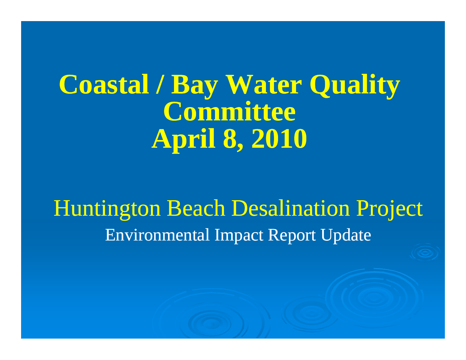## **Coastal / Bay Water Quality Committee April 8, 2010**

Huntington Beach Desalination Project Environmental Impact Report Update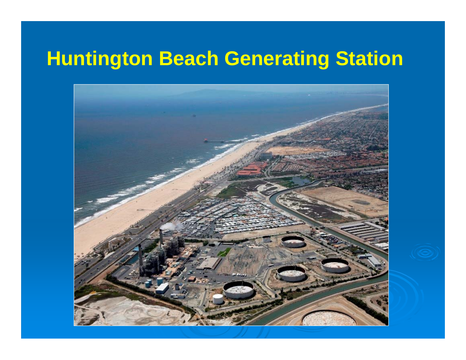## **Huntington Beach Generating Station**

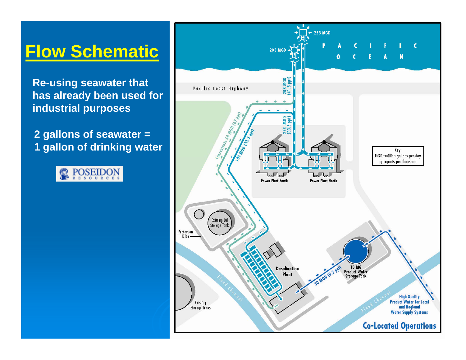## **Flow Schematic**

**Re-using seawater that has already been used for industrial purposes**

**2 gallons of seawater = 1 gallon of drinking water** 



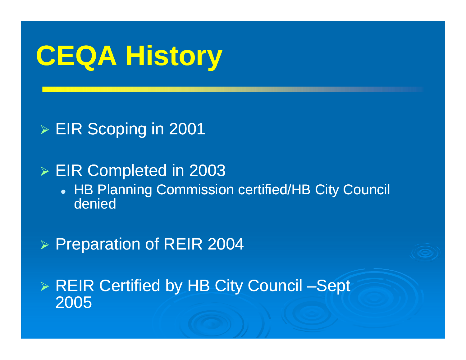# **CEQ y A History**

¾ EIR Scoping in 2001

¾ EIR Completed in 2003

• HB Planning Commission certified/HB City Council denied

¾ Preparation of REIR 2004

▶ REIR Certified by HB City Council –Sept 2005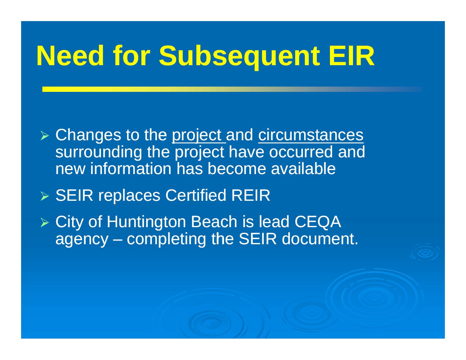# **Need for Subse quent EIR**

**≽ Changes to the project and circumstances** surrounding the project have occurred and new information has become available

¾ SEIR re places Certified REIR

¾ City of Huntington Beach is lead CEQA agency – completing the SEIR document.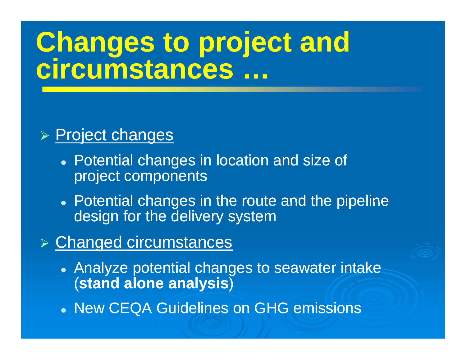# **Changes to project and circumstances …**

### ¾ Project changes

- Potential changes in location and size of project components
- $\bullet\,$  Potential changes in the route and the pipeline design for the delivery system

### ¾ Changed circumstances

- $\bullet\,$  Analyze potential changes to seawater intake (**stand alone analysis** )
- New CEQA Guidelines on GHG emissions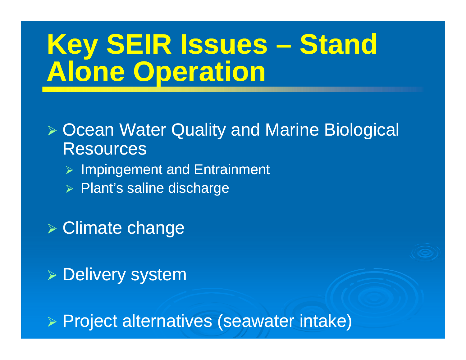# **Key SEIR Issues – Stand Alone Operation**

## ¾ Ocean Water Quality and Marine Biological **Resources**

- ¾ Impingement and Entrainment
- ¾ Plant's saline discharge

¾ Climate change

¾ Delivery system

¾ Project alternatives (seawater intake)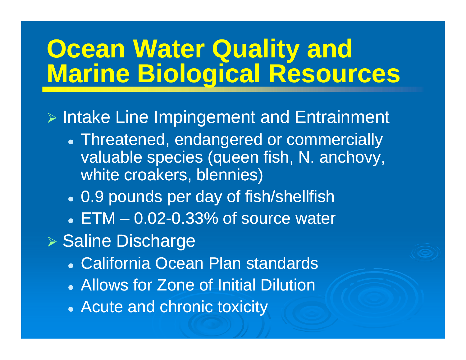## **Ocean Water Quality and Marine Biological Resources**

> Intake Line Impingement and Entrainment

- Threatened, endangered or commercially valuable species (queen fish, N. anchovy, white croakers, blennies)
- 0.9 pounds per day of fish/shellfish
- $\bullet$  ETM  $-$  0.02-0.33% of source water
- ▶ Saline Discharge
	- **. California Ocean Plan standards**
	- Allows for Zone of Initial Dilution
	- Acute and chronic toxicity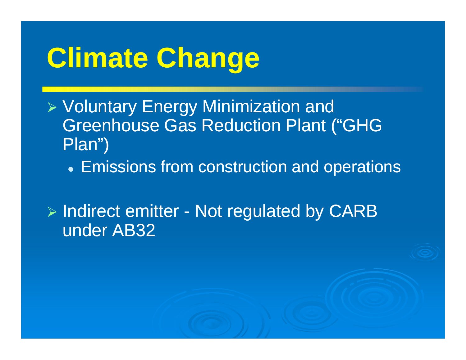# **Climate Change**

- $\triangleright$  Voluntary Energy Minimization and Greenhouse Gas Reduction Plant ("GHG Plan")
	- Emissions from construction and operations

¾ Indirect emitter - Not regulated by CARB under AB32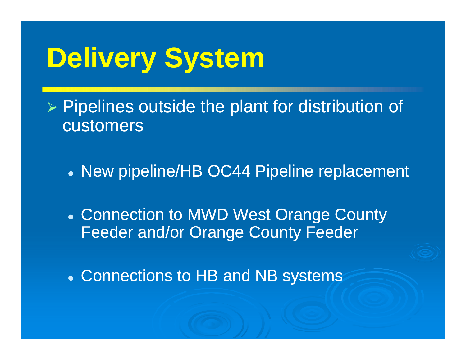# **Delivery System**

 $\triangleright$  Pipelines outside the plant for distribution of customers

• New pipeline/HB OC44 Pipeline replacement

• Connection to MWD West Orange County Feeder and/or Orange County Feeder

• Connections to HB and NB systems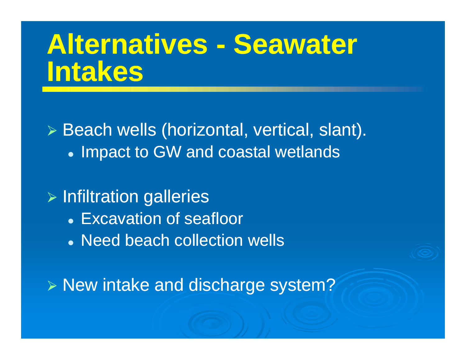## **Alternatives - Seawater Intakes**

¾ Beach wells (horizontal, vertical, slant). • Impact to GW and coastal wetlands

## $\triangleright$  Infiltration galleries

- Excavation of seafloor
- Need beach collection wells

> New intake and discharge system?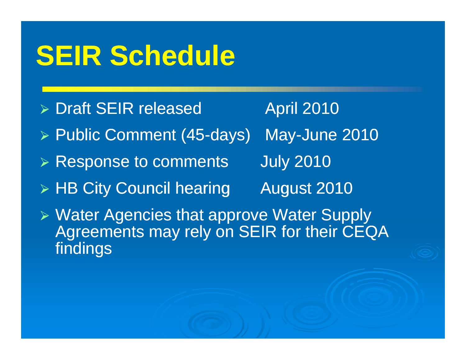# **SEIR Schedule**

¾ Draft SEIR released April 2010 ▶ Public Comment (45-days) May-June 2010  $\triangleright$  Response to comments s July 2010 ¾ HB City Council hearing August 2010 ¾ Water Agencies that approve Water Supply Agreements may rely on SEIR for their CEQA findings